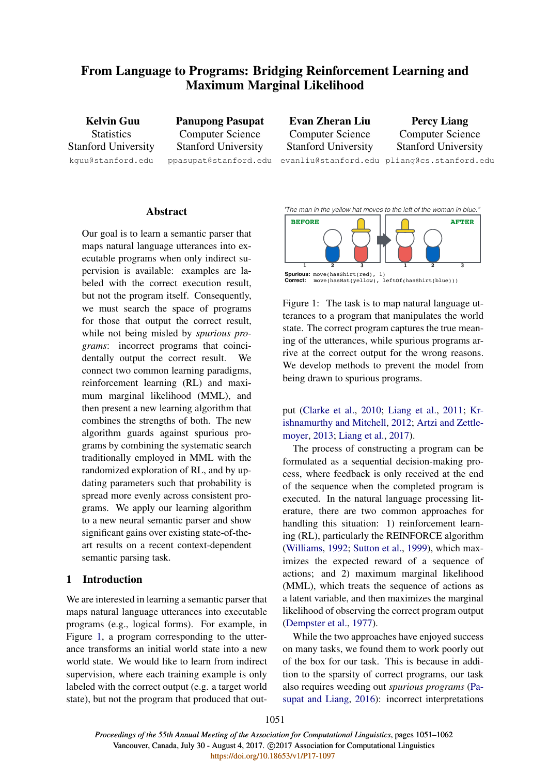# From Language to Programs: Bridging Reinforcement Learning and Maximum Marginal Likelihood

Kelvin Guu **Statistics** Stanford University kguu@stanford.edu

Panupong Pasupat Computer Science Stanford University ppasupat@stanford.edu

Evan Zheran Liu Computer Science Stanford University

Percy Liang Computer Science Stanford University

evanliu@stanford.edu pliang@cs.stanford.edu

# Abstract

Our goal is to learn a semantic parser that maps natural language utterances into executable programs when only indirect supervision is available: examples are labeled with the correct execution result, but not the program itself. Consequently, we must search the space of programs for those that output the correct result, while not being misled by *spurious programs*: incorrect programs that coincidentally output the correct result. We connect two common learning paradigms, reinforcement learning (RL) and maximum marginal likelihood (MML), and then present a new learning algorithm that combines the strengths of both. The new algorithm guards against spurious programs by combining the systematic search traditionally employed in MML with the randomized exploration of RL, and by updating parameters such that probability is spread more evenly across consistent programs. We apply our learning algorithm to a new neural semantic parser and show significant gains over existing state-of-theart results on a recent context-dependent semantic parsing task.

# 1 Introduction

We are interested in learning a semantic parser that maps natural language utterances into executable programs (e.g., logical forms). For example, in Figure 1, a program corresponding to the utterance transforms an initial world state into a new world state. We would like to learn from indirect supervision, where each training example is only labeled with the correct output (e.g. a target world state), but not the program that produced that out*"The man in the yellow hat moves to the left of the woman in blue."* 



**Spurious:** move(hasShirt(red), 1) **Correct:** move(hasHat(yellow), leftOf(hasShirt(blue)))

state. The correct program captures the true meanrive at the correct output for the wrong reasons. ing of the utterances, while spurious programs ar-We develop methods to prevent the model from terances to a program that manipulates the world Figure 1: The task is to map natural language utbeing drawn to spurious programs.

put (Clarke et al., 2010; Liang et al., 2011; Krishnamurthy and Mitchell, 2012; Artzi and Zettlemoyer, 2013; Liang et al., 2017).

The process of constructing a program can be formulated as a sequential decision-making process, where feedback is only received at the end of the sequence when the completed program is executed. In the natural language processing literature, there are two common approaches for handling this situation: 1) reinforcement learning (RL), particularly the REINFORCE algorithm (Williams, 1992; Sutton et al., 1999), which maximizes the expected reward of a sequence of actions; and 2) maximum marginal likelihood (MML), which treats the sequence of actions as a latent variable, and then maximizes the marginal likelihood of observing the correct program output (Dempster et al., 1977).

While the two approaches have enjoyed success on many tasks, we found them to work poorly out of the box for our task. This is because in addition to the sparsity of correct programs, our task also requires weeding out *spurious programs* (Pasupat and Liang, 2016): incorrect interpretations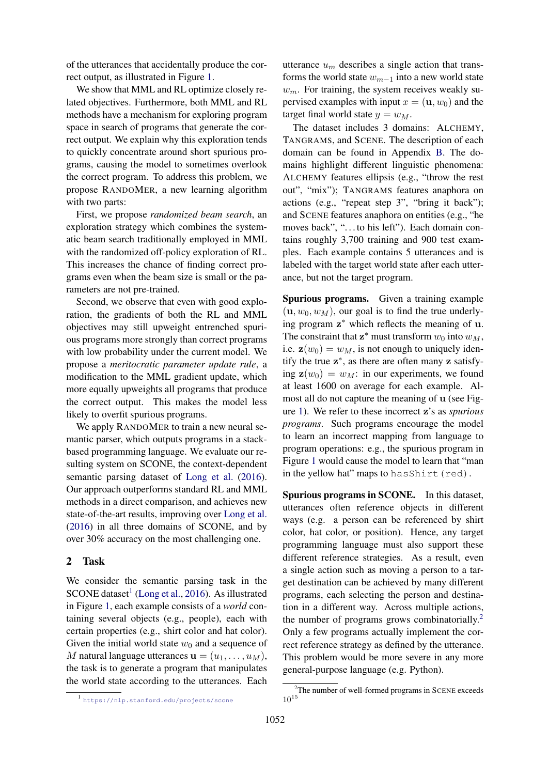of the utterances that accidentally produce the correct output, as illustrated in Figure 1.

We show that MML and RL optimize closely related objectives. Furthermore, both MML and RL methods have a mechanism for exploring program space in search of programs that generate the correct output. We explain why this exploration tends to quickly concentrate around short spurious programs, causing the model to sometimes overlook the correct program. To address this problem, we propose RANDOMER, a new learning algorithm with two parts:

First, we propose *randomized beam search*, an exploration strategy which combines the systematic beam search traditionally employed in MML with the randomized off-policy exploration of RL. This increases the chance of finding correct programs even when the beam size is small or the parameters are not pre-trained.

Second, we observe that even with good exploration, the gradients of both the RL and MML objectives may still upweight entrenched spurious programs more strongly than correct programs with low probability under the current model. We propose a *meritocratic parameter update rule*, a modification to the MML gradient update, which more equally upweights all programs that produce the correct output. This makes the model less likely to overfit spurious programs.

We apply RANDOMER to train a new neural semantic parser, which outputs programs in a stackbased programming language. We evaluate our resulting system on SCONE, the context-dependent semantic parsing dataset of Long et al. (2016). Our approach outperforms standard RL and MML methods in a direct comparison, and achieves new state-of-the-art results, improving over Long et al. (2016) in all three domains of SCONE, and by over 30% accuracy on the most challenging one.

# 2 Task

We consider the semantic parsing task in the  $SCONE$  dataset<sup>1</sup> (Long et al., 2016). As illustrated in Figure 1, each example consists of a *world* containing several objects (e.g., people), each with certain properties (e.g., shirt color and hat color). Given the initial world state  $w_0$  and a sequence of M natural language utterances  $\mathbf{u} = (u_1, \dots, u_M)$ , the task is to generate a program that manipulates the world state according to the utterances. Each utterance  $u_m$  describes a single action that transforms the world state  $w_{m-1}$  into a new world state  $w_m$ . For training, the system receives weakly supervised examples with input  $x = (\mathbf{u}, w_0)$  and the target final world state  $y = w_M$ .

The dataset includes 3 domains: ALCHEMY, TANGRAMS, and SCENE. The description of each domain can be found in Appendix B. The domains highlight different linguistic phenomena: ALCHEMY features ellipsis (e.g., "throw the rest out", "mix"); TANGRAMS features anaphora on actions (e.g., "repeat step 3", "bring it back"); and SCENE features anaphora on entities (e.g., "he moves back", "...to his left"). Each domain contains roughly 3,700 training and 900 test examples. Each example contains 5 utterances and is labeled with the target world state after each utterance, but not the target program.

Spurious programs. Given a training example  $(\mathbf{u}, w_0, w_M)$ , our goal is to find the true underlying program z ∗ which reflects the meaning of u. The constraint that  $z^*$  must transform  $w_0$  into  $w_M$ , i.e.  $\mathbf{z}(w_0) = w_M$ , is not enough to uniquely identify the true  $z^*$ , as there are often many z satisfying  $z(w_0) = w_M$ : in our experiments, we found at least 1600 on average for each example. Almost all do not capture the meaning of u (see Figure 1). We refer to these incorrect z's as *spurious programs*. Such programs encourage the model to learn an incorrect mapping from language to program operations: e.g., the spurious program in Figure 1 would cause the model to learn that "man in the yellow hat" maps to hasShirt(red).

Spurious programs in SCONE. In this dataset, utterances often reference objects in different ways (e.g. a person can be referenced by shirt color, hat color, or position). Hence, any target programming language must also support these different reference strategies. As a result, even a single action such as moving a person to a target destination can be achieved by many different programs, each selecting the person and destination in a different way. Across multiple actions, the number of programs grows combinatorially.<sup>2</sup> Only a few programs actually implement the correct reference strategy as defined by the utterance. This problem would be more severe in any more general-purpose language (e.g. Python).

<sup>1</sup> https://nlp.stanford.edu/projects/scone

 $2$ The number of well-formed programs in SCENE exceeds  $10^{15}$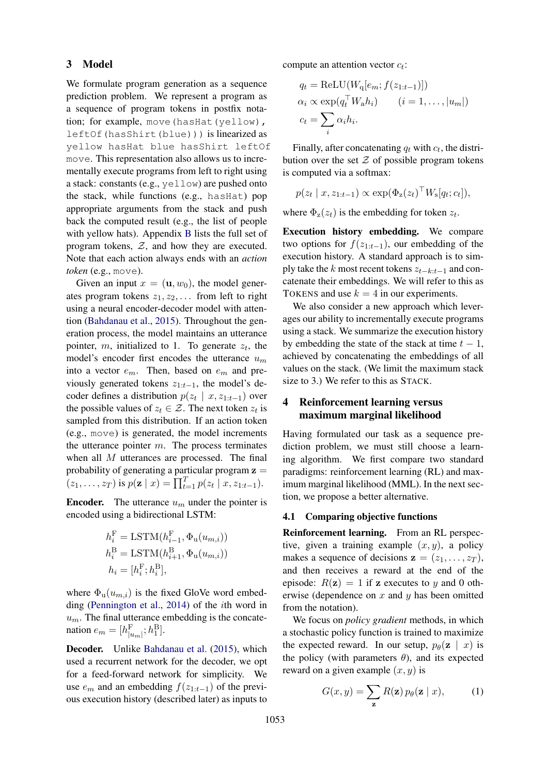## 3 Model

We formulate program generation as a sequence prediction problem. We represent a program as a sequence of program tokens in postfix notation; for example, move (hasHat(yellow), leftOf(hasShirt(blue))) is linearized as yellow hasHat blue hasShirt leftOf move. This representation also allows us to incrementally execute programs from left to right using a stack: constants (e.g., yellow) are pushed onto the stack, while functions (e.g., hasHat) pop appropriate arguments from the stack and push back the computed result (e.g., the list of people with yellow hats). Appendix B lists the full set of program tokens,  $Z$ , and how they are executed. Note that each action always ends with an *action token* (e.g., move).

Given an input  $x = (u, w_0)$ , the model generates program tokens  $z_1, z_2, \ldots$  from left to right using a neural encoder-decoder model with attention (Bahdanau et al., 2015). Throughout the generation process, the model maintains an utterance pointer, m, initialized to 1. To generate  $z_t$ , the model's encoder first encodes the utterance  $u_m$ into a vector  $e_m$ . Then, based on  $e_m$  and previously generated tokens  $z_{1:t-1}$ , the model's decoder defines a distribution  $p(z_t | x, z_{1:t-1})$  over the possible values of  $z_t \in \mathcal{Z}$ . The next token  $z_t$  is sampled from this distribution. If an action token (e.g., move) is generated, the model increments the utterance pointer  $m$ . The process terminates when all M utterances are processed. The final probability of generating a particular program  $z =$  $(z_1, \ldots, z_T)$  is  $p(\mathbf{z} \mid x) = \prod_{t=1}^T p(z_t \mid x, z_{1:t-1}).$ 

**Encoder.** The utterance  $u_m$  under the pointer is encoded using a bidirectional LSTM:

$$
h_i^{\mathcal{F}} = \text{LSTM}(h_{i-1}^{\mathcal{F}}, \Phi_u(u_{m,i}))
$$
  
\n
$$
h_i^{\mathcal{B}} = \text{LSTM}(h_{i+1}^{\mathcal{B}}, \Phi_u(u_{m,i}))
$$
  
\n
$$
h_i = [h_i^{\mathcal{F}}; h_i^{\mathcal{B}}],
$$

where  $\Phi_u(u_{m,i})$  is the fixed GloVe word embedding (Pennington et al., 2014) of the ith word in  $u_m$ . The final utterance embedding is the concatenation  $e_m = [h_{|u_m|}^{\text{F}}; h_1^{\text{B}}]$ .

Decoder. Unlike Bahdanau et al. (2015), which used a recurrent network for the decoder, we opt for a feed-forward network for simplicity. We use  $e_m$  and an embedding  $f(z_{1:t-1})$  of the previous execution history (described later) as inputs to

compute an attention vector  $c_t$ :

$$
q_t = \text{ReLU}(W_q[e_m; f(z_{1:t-1})])
$$
  
\n
$$
\alpha_i \propto \exp(q_t^T W_a h_i)
$$
  $(i = 1, ..., |u_m|)$   
\n
$$
c_t = \sum_i \alpha_i h_i.
$$

Finally, after concatenating  $q_t$  with  $c_t$ , the distribution over the set  $Z$  of possible program tokens is computed via a softmax:

$$
p(z_t | x, z_{1:t-1}) \propto \exp(\Phi_z(z_t)^\top W_s[q_t; c_t]),
$$

where  $\Phi_z(z_t)$  is the embedding for token  $z_t$ .

Execution history embedding. We compare two options for  $f(z_{1:t-1})$ , our embedding of the execution history. A standard approach is to simply take the k most recent tokens  $z_{t-k:t-1}$  and concatenate their embeddings. We will refer to this as TOKENS and use  $k = 4$  in our experiments.

We also consider a new approach which leverages our ability to incrementally execute programs using a stack. We summarize the execution history by embedding the state of the stack at time  $t - 1$ , achieved by concatenating the embeddings of all values on the stack. (We limit the maximum stack size to 3.) We refer to this as STACK.

# 4 Reinforcement learning versus maximum marginal likelihood

Having formulated our task as a sequence prediction problem, we must still choose a learning algorithm. We first compare two standard paradigms: reinforcement learning (RL) and maximum marginal likelihood (MML). In the next section, we propose a better alternative.

# 4.1 Comparing objective functions

Reinforcement learning. From an RL perspective, given a training example  $(x, y)$ , a policy makes a sequence of decisions  $z = (z_1, \ldots, z_T)$ , and then receives a reward at the end of the episode:  $R(z) = 1$  if z executes to y and 0 otherwise (dependence on  $x$  and  $y$  has been omitted from the notation).

We focus on *policy gradient* methods, in which a stochastic policy function is trained to maximize the expected reward. In our setup,  $p_{\theta}(\mathbf{z} \mid x)$  is the policy (with parameters  $\theta$ ), and its expected reward on a given example  $(x, y)$  is

$$
G(x,y) = \sum_{\mathbf{z}} R(\mathbf{z}) p_{\theta}(\mathbf{z} \mid x), \quad (1)
$$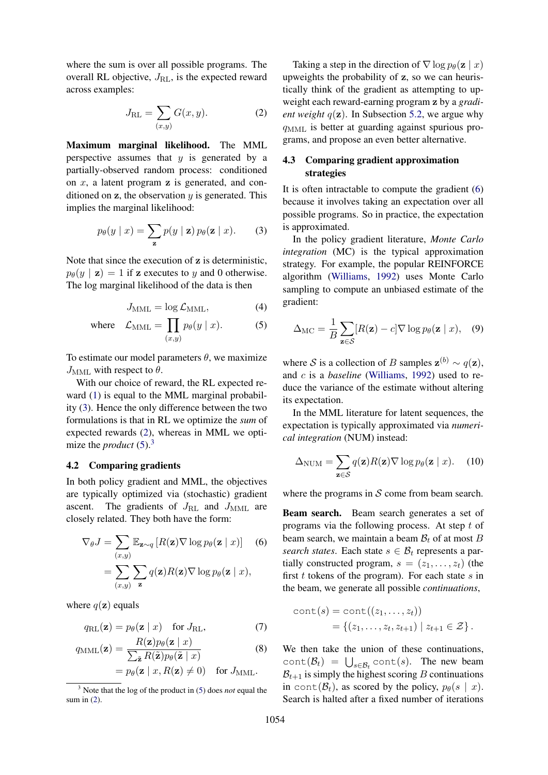where the sum is over all possible programs. The overall RL objective,  $J_{\text{RL}}$ , is the expected reward across examples:

$$
J_{\mathrm{RL}} = \sum_{(x,y)} G(x,y). \tag{2}
$$

Maximum marginal likelihood. The MML perspective assumes that  $y$  is generated by a partially-observed random process: conditioned on  $x$ , a latent program  $z$  is generated, and conditioned on  $z$ , the observation  $y$  is generated. This implies the marginal likelihood:

$$
p_{\theta}(y \mid x) = \sum_{\mathbf{z}} p(y \mid \mathbf{z}) p_{\theta}(\mathbf{z} \mid x). \tag{3}
$$

Note that since the execution of z is deterministic,  $p_{\theta}(y | \mathbf{z}) = 1$  if z executes to y and 0 otherwise. The log marginal likelihood of the data is then

$$
J_{\text{MML}} = \log \mathcal{L}_{\text{MML}},\tag{4}
$$

where 
$$
\mathcal{L}_{\text{MML}} = \prod_{(x,y)} p_{\theta}(y \mid x).
$$
 (5)

To estimate our model parameters  $\theta$ , we maximize  $J<sub>MML</sub>$  with respect to  $\theta$ .

With our choice of reward, the RL expected reward (1) is equal to the MML marginal probability (3). Hence the only difference between the two formulations is that in RL we optimize the *sum* of expected rewards (2), whereas in MML we optimize the *product* (5).<sup>3</sup>

#### 4.2 Comparing gradients

In both policy gradient and MML, the objectives are typically optimized via (stochastic) gradient ascent. The gradients of  $J_{\rm RL}$  and  $J_{\rm MML}$  are closely related. They both have the form:

$$
\nabla_{\theta} J = \sum_{(x,y)} \mathbb{E}_{\mathbf{z} \sim q} \left[ R(\mathbf{z}) \nabla \log p_{\theta}(\mathbf{z} \mid x) \right] \quad (6)
$$

$$
= \sum_{(x,y)} \sum_{\mathbf{z}} q(\mathbf{z}) R(\mathbf{z}) \nabla \log p_{\theta}(\mathbf{z} \mid x),
$$

where  $q(\mathbf{z})$  equals

$$
q_{\rm RL}(\mathbf{z}) = p_{\theta}(\mathbf{z} \mid x) \quad \text{for } J_{\rm RL}, \tag{7}
$$

$$
q_{\text{MML}}(\mathbf{z}) = \frac{R(\mathbf{z})p_{\theta}(\mathbf{z} \mid x)}{\sum_{\tilde{\mathbf{z}}} R(\tilde{\mathbf{z}})p_{\theta}(\tilde{\mathbf{z}} \mid x)} \tag{8}
$$

$$
= p_{\theta}(\mathbf{z} \mid x, R(\mathbf{z}) \neq 0) \quad \text{for } J_{\text{MML}}.
$$

Taking a step in the direction of  $\nabla \log p_\theta(\mathbf{z} \mid x)$ upweights the probability of z, so we can heuristically think of the gradient as attempting to upweight each reward-earning program z by a *gradient weight*  $q(\mathbf{z})$ . In Subsection 5.2, we argue why  $q_{\text{MML}}$  is better at guarding against spurious programs, and propose an even better alternative.

# 4.3 Comparing gradient approximation strategies

It is often intractable to compute the gradient (6) because it involves taking an expectation over all possible programs. So in practice, the expectation is approximated.

In the policy gradient literature, *Monte Carlo integration* (MC) is the typical approximation strategy. For example, the popular REINFORCE algorithm (Williams, 1992) uses Monte Carlo sampling to compute an unbiased estimate of the gradient:

$$
\Delta_{\rm MC} = \frac{1}{B} \sum_{\mathbf{z} \in \mathcal{S}} [R(\mathbf{z}) - c] \nabla \log p_{\theta}(\mathbf{z} \mid x), \quad (9)
$$

where S is a collection of B samples  $\mathbf{z}^{(b)} \sim q(\mathbf{z})$ , and c is a *baseline* (Williams, 1992) used to reduce the variance of the estimate without altering its expectation.

In the MML literature for latent sequences, the expectation is typically approximated via *numerical integration* (NUM) instead:

$$
\Delta_{\text{NUM}} = \sum_{\mathbf{z} \in \mathcal{S}} q(\mathbf{z}) R(\mathbf{z}) \nabla \log p_{\theta}(\mathbf{z} \mid x). \quad (10)
$$

where the programs in  $S$  come from beam search.

Beam search. Beam search generates a set of programs via the following process. At step t of beam search, we maintain a beam  $\mathcal{B}_t$  of at most B *search states*. Each state  $s \in \mathcal{B}_t$  represents a partially constructed program,  $s = (z_1, \ldots, z_t)$  (the first  $t$  tokens of the program). For each state  $s$  in the beam, we generate all possible *continuations*,

cont(s) = cont((z<sub>1</sub>,...,z<sub>t</sub>))  
= {(z<sub>1</sub>,...,z<sub>t</sub>,z<sub>t+1</sub>) | z<sub>t+1</sub> 
$$
\in \mathcal{Z}
$$
 }.

We then take the union of these continuations,  $\text{cont}(\mathcal{B}_t) = \bigcup_{s \in \mathcal{B}_t} \text{cont}(s)$ . The new beam  $\mathcal{B}_{t+1}$  is simply the highest scoring B continuations in cont( $\mathcal{B}_t$ ), as scored by the policy,  $p_\theta(s \mid x)$ . Search is halted after a fixed number of iterations

<sup>3</sup> Note that the log of the product in (5) does *not* equal the sum in (2).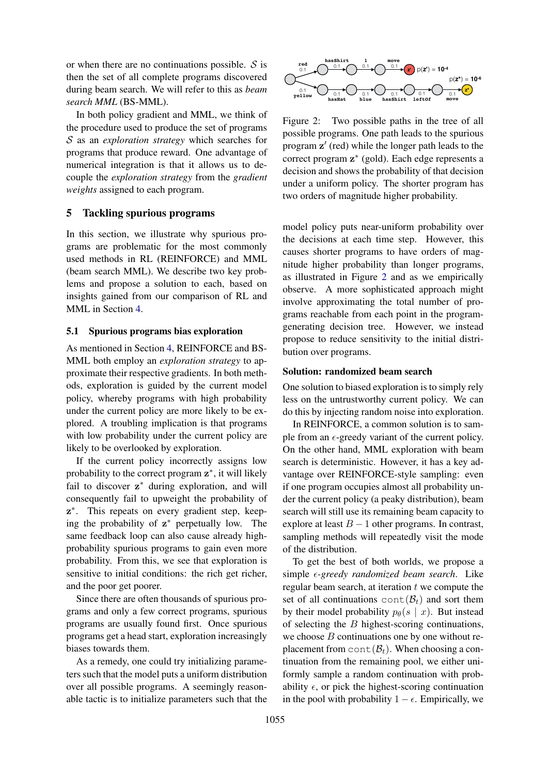or when there are no continuations possible.  $S$  is then the set of all complete programs discovered during beam search. We will refer to this as *beam search MML* (BS-MML).

In both policy gradient and MML, we think of the procedure used to produce the set of programs S as an *exploration strategy* which searches for programs that produce reward. One advantage of numerical integration is that it allows us to decouple the *exploration strategy* from the *gradient weights* assigned to each program.

# 5 Tackling spurious programs

In this section, we illustrate why spurious programs are problematic for the most commonly used methods in RL (REINFORCE) and MML (beam search MML). We describe two key problems and propose a solution to each, based on insights gained from our comparison of RL and MML in Section 4.

# 5.1 Spurious programs bias exploration

As mentioned in Section 4, REINFORCE and BS-MML both employ an *exploration strategy* to approximate their respective gradients. In both methods, exploration is guided by the current model policy, whereby programs with high probability under the current policy are more likely to be explored. A troubling implication is that programs with low probability under the current policy are likely to be overlooked by exploration.

If the current policy incorrectly assigns low probability to the correct program  $z^*$ , it will likely fail to discover  $z^*$  during exploration, and will consequently fail to upweight the probability of z ∗ . This repeats on every gradient step, keeping the probability of z ∗ perpetually low. The same feedback loop can also cause already highprobability spurious programs to gain even more probability. From this, we see that exploration is sensitive to initial conditions: the rich get richer, and the poor get poorer.

Since there are often thousands of spurious programs and only a few correct programs, spurious programs are usually found first. Once spurious programs get a head start, exploration increasingly biases towards them.

As a remedy, one could try initializing parameters such that the model puts a uniform distribution over all possible programs. A seemingly reasonable tactic is to initialize parameters such that the



Figure 2: Two possible paths in the tree of all possible programs. One path leads to the spurious program  $z'$  (red) while the longer path leads to the correct program z ∗ (gold). Each edge represents a decision and shows the probability of that decision under a uniform policy. The shorter program has two orders of magnitude higher probability.

model policy puts near-uniform probability over the decisions at each time step. However, this causes shorter programs to have orders of magnitude higher probability than longer programs, as illustrated in Figure 2 and as we empirically observe. A more sophisticated approach might involve approximating the total number of programs reachable from each point in the programgenerating decision tree. However, we instead propose to reduce sensitivity to the initial distribution over programs.

#### Solution: randomized beam search

One solution to biased exploration is to simply rely less on the untrustworthy current policy. We can do this by injecting random noise into exploration.

In REINFORCE, a common solution is to sample from an  $\epsilon$ -greedy variant of the current policy. On the other hand, MML exploration with beam search is deterministic. However, it has a key advantage over REINFORCE-style sampling: even if one program occupies almost all probability under the current policy (a peaky distribution), beam search will still use its remaining beam capacity to explore at least  $B - 1$  other programs. In contrast, sampling methods will repeatedly visit the mode of the distribution.

To get the best of both worlds, we propose a simple *-greedy randomized beam search*. Like regular beam search, at iteration  $t$  we compute the set of all continuations  $cont(\mathcal{B}_t)$  and sort them by their model probability  $p_{\theta}(s \mid x)$ . But instead of selecting the  $B$  highest-scoring continuations, we choose  $B$  continuations one by one without replacement from  $cont(\mathcal{B}_t)$ . When choosing a continuation from the remaining pool, we either uniformly sample a random continuation with probability  $\epsilon$ , or pick the highest-scoring continuation in the pool with probability  $1 - \epsilon$ . Empirically, we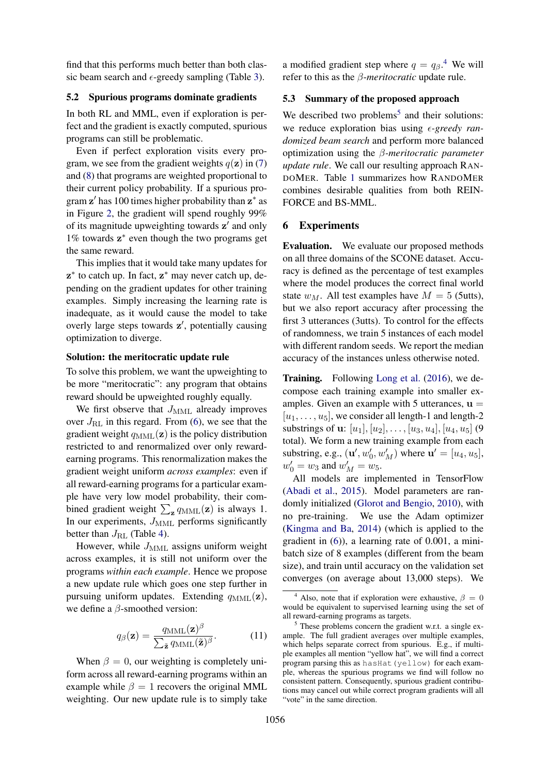find that this performs much better than both classic beam search and  $\epsilon$ -greedy sampling (Table 3).

#### 5.2 Spurious programs dominate gradients

In both RL and MML, even if exploration is perfect and the gradient is exactly computed, spurious programs can still be problematic.

Even if perfect exploration visits every program, we see from the gradient weights  $q(\mathbf{z})$  in (7) and (8) that programs are weighted proportional to their current policy probability. If a spurious program  $z'$  has 100 times higher probability than  $z^*$  as in Figure 2, the gradient will spend roughly 99% of its magnitude upweighting towards  $z'$  and only 1% towards z ∗ even though the two programs get the same reward.

This implies that it would take many updates for z ∗ to catch up. In fact, z ∗ may never catch up, depending on the gradient updates for other training examples. Simply increasing the learning rate is inadequate, as it would cause the model to take overly large steps towards  $z'$ , potentially causing optimization to diverge.

## Solution: the meritocratic update rule

To solve this problem, we want the upweighting to be more "meritocratic": any program that obtains reward should be upweighted roughly equally.

We first observe that  $J_{\text{MML}}$  already improves over  $J_{\rm RL}$  in this regard. From (6), we see that the gradient weight  $q_{\text{MML}}(\mathbf{z})$  is the policy distribution restricted to and renormalized over only rewardearning programs. This renormalization makes the gradient weight uniform *across examples*: even if all reward-earning programs for a particular example have very low model probability, their combined gradient weight  $\sum_{\mathbf{z}} q_{\text{MML}}(\mathbf{z})$  is always 1. In our experiments,  $J_{\text{MML}}$  performs significantly better than  $J_{\rm RL}$  (Table 4).

However, while  $J_{\text{MML}}$  assigns uniform weight across examples, it is still not uniform over the programs *within each example*. Hence we propose a new update rule which goes one step further in pursuing uniform updates. Extending  $q_{\text{MML}}(\mathbf{z})$ , we define a β-smoothed version:

$$
q_{\beta}(\mathbf{z}) = \frac{q_{\text{MML}}(\mathbf{z})^{\beta}}{\sum_{\tilde{\mathbf{z}}} q_{\text{MML}}(\tilde{\mathbf{z}})^{\beta}}.
$$
 (11)

When  $\beta = 0$ , our weighting is completely uniform across all reward-earning programs within an example while  $\beta = 1$  recovers the original MML weighting. Our new update rule is to simply take

a modified gradient step where  $q = q_{\beta}$ <sup>4</sup>. We will refer to this as the β-*meritocratic* update rule.

# 5.3 Summary of the proposed approach

We described two problems<sup>5</sup> and their solutions: we reduce exploration bias using  $\epsilon$ -greedy ran*domized beam search* and perform more balanced optimization using the β*-meritocratic parameter update rule*. We call our resulting approach RAN-DOMER. Table 1 summarizes how RANDOMER combines desirable qualities from both REIN-FORCE and BS-MML.

# 6 Experiments

Evaluation. We evaluate our proposed methods on all three domains of the SCONE dataset. Accuracy is defined as the percentage of test examples where the model produces the correct final world state  $w_M$ . All test examples have  $M = 5$  (5utts), but we also report accuracy after processing the first 3 utterances (3utts). To control for the effects of randomness, we train 5 instances of each model with different random seeds. We report the median accuracy of the instances unless otherwise noted.

Training. Following Long et al. (2016), we decompose each training example into smaller examples. Given an example with 5 utterances,  $\mathbf{u} =$  $[u_1, \ldots, u_5]$ , we consider all length-1 and length-2 substrings of u:  $[u_1], [u_2], \ldots, [u_3, u_4], [u_4, u_5]$  (9 total). We form a new training example from each substring, e.g.,  $(\mathbf{u}', w'_0, w'_M)$  where  $\mathbf{u}' = [u_4, u_5]$ ,  $w'_0 = w_3$  and  $w'_M = w_5$ .

All models are implemented in TensorFlow (Abadi et al., 2015). Model parameters are randomly initialized (Glorot and Bengio, 2010), with no pre-training. We use the Adam optimizer (Kingma and Ba, 2014) (which is applied to the gradient in (6)), a learning rate of 0.001, a minibatch size of 8 examples (different from the beam size), and train until accuracy on the validation set converges (on average about 13,000 steps). We

<sup>&</sup>lt;sup>4</sup> Also, note that if exploration were exhaustive,  $\beta = 0$ would be equivalent to supervised learning using the set of all reward-earning programs as targets.

 $<sup>5</sup>$  These problems concern the gradient w.r.t. a single ex-</sup> ample. The full gradient averages over multiple examples, which helps separate correct from spurious. E.g., if multiple examples all mention "yellow hat", we will find a correct program parsing this as hasHat(yellow) for each example, whereas the spurious programs we find will follow no consistent pattern. Consequently, spurious gradient contributions may cancel out while correct program gradients will all "vote" in the same direction.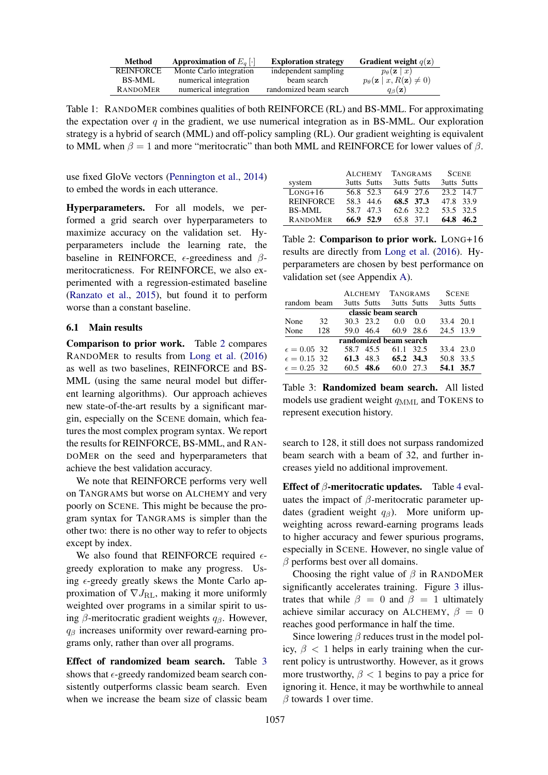| Method           | Approximation of $E_a$ [.] | <b>Exploration strategy</b> | <b>Gradient weight</b> $q(\mathbf{z})$                |
|------------------|----------------------------|-----------------------------|-------------------------------------------------------|
| <b>REINFORCE</b> | Monte Carlo integration    | independent sampling        | $p_{\theta}(\mathbf{z} \mid x)$                       |
| BS-MML           | numerical integration      | beam search                 | $p_{\theta}(\mathbf{z} \mid x, R(\mathbf{z}) \neq 0)$ |
| <b>RANDOMER</b>  | numerical integration      | randomized beam search      | $q_{\beta}(\mathbf{z})$                               |

Table 1: RANDOMER combines qualities of both REINFORCE (RL) and BS-MML. For approximating the expectation over  $q$  in the gradient, we use numerical integration as in BS-MML. Our exploration strategy is a hybrid of search (MML) and off-policy sampling (RL). Our gradient weighting is equivalent to MML when  $β = 1$  and more "meritocratic" than both MML and REINFORCE for lower values of  $β$ .

use fixed GloVe vectors (Pennington et al., 2014) to embed the words in each utterance.

Hyperparameters. For all models, we performed a grid search over hyperparameters to maximize accuracy on the validation set. Hyperparameters include the learning rate, the baseline in REINFORCE,  $\epsilon$ -greediness and  $\beta$ meritocraticness. For REINFORCE, we also experimented with a regression-estimated baseline (Ranzato et al., 2015), but found it to perform worse than a constant baseline.

#### 6.1 Main results

Comparison to prior work. Table 2 compares RANDOMER to results from Long et al. (2016) as well as two baselines, REINFORCE and BS-MML (using the same neural model but different learning algorithms). Our approach achieves new state-of-the-art results by a significant margin, especially on the SCENE domain, which features the most complex program syntax. We report the results for REINFORCE, BS-MML, and RAN-DOMER on the seed and hyperparameters that achieve the best validation accuracy.

We note that REINFORCE performs very well on TANGRAMS but worse on ALCHEMY and very poorly on SCENE. This might be because the program syntax for TANGRAMS is simpler than the other two: there is no other way to refer to objects except by index.

We also found that REINFORCE required  $\epsilon$ greedy exploration to make any progress. Using  $\epsilon$ -greedy greatly skews the Monte Carlo approximation of  $\nabla J_{\text{RL}}$ , making it more uniformly weighted over programs in a similar spirit to using  $\beta$ -meritocratic gradient weights  $q_\beta$ . However,  $q<sub>\beta</sub>$  increases uniformity over reward-earning programs only, rather than over all programs.

Effect of randomized beam search. Table 3 shows that  $\epsilon$ -greedy randomized beam search consistently outperforms classic beam search. Even when we increase the beam size of classic beam

|                        | <b>ALCHEMY</b> | <b>TANGRAMS</b> | <b>SCENE</b> |  |
|------------------------|----------------|-----------------|--------------|--|
| system                 | 3utts 5utts    | 3utts 5utts     | 3utts 5utts  |  |
| $L$ <sub>O</sub> NG+16 | 56.8 52.3      | 64.9 27.6       | 23.2 14.7    |  |
| <b>REINFORCE</b>       | 58.3 44.6      | 68.5 37.3       | 47.8 33.9    |  |
| BS-MML                 | 58.7 47.3      | 62.6 32.2       | 53.5 32.5    |  |
| <b>RANDOMER</b>        | 66.9 52.9      | 65.8 37.1       | 64.8 46.2    |  |

Table 2: Comparison to prior work. LONG+16 results are directly from Long et al. (2016). Hyperparameters are chosen by best performance on validation set (see Appendix A).

|                        |     |  |                     | ALCHEMY TANGRAMS        |      | <b>SCENE</b> |  |
|------------------------|-----|--|---------------------|-------------------------|------|--------------|--|
| random beam            |     |  |                     | 3utts 5utts 3utts 5utts |      | 3utts 5utts  |  |
|                        |     |  |                     | classic beam search     |      |              |  |
| None                   | 32  |  | $30.3$ $23.2$ $0.0$ |                         | 0.0  | 33.4 20.1    |  |
| None                   | 128 |  |                     | 59.0 46.4 60.9 28.6     |      | 24.5 13.9    |  |
| randomized beam search |     |  |                     |                         |      |              |  |
| $\epsilon = 0.05$ 32   |     |  | 58.7 45.5           | 61.1 32.5               |      | 33.4 23.0    |  |
| $\epsilon = 0.15$ 32   |     |  |                     | 61.3 48.3 65.2 34.3     |      | 50.8 33.5    |  |
| $\epsilon = 0.25$ 32   |     |  | $60.5$ 48.6         | 60.0                    | 27.3 | 54.1 35.7    |  |

Table 3: Randomized beam search. All listed models use gradient weight  $q_{\text{MML}}$  and TOKENS to represent execution history.

search to 128, it still does not surpass randomized beam search with a beam of 32, and further increases yield no additional improvement.

Effect of  $\beta$ -meritocratic updates. Table 4 evaluates the impact of  $\beta$ -meritocratic parameter updates (gradient weight  $q_\beta$ ). More uniform upweighting across reward-earning programs leads to higher accuracy and fewer spurious programs, especially in SCENE. However, no single value of  $\beta$  performs best over all domains.

Choosing the right value of  $\beta$  in RANDOMER significantly accelerates training. Figure 3 illustrates that while  $\beta = 0$  and  $\beta = 1$  ultimately achieve similar accuracy on ALCHEMY,  $\beta = 0$ reaches good performance in half the time.

Since lowering  $\beta$  reduces trust in the model policy,  $\beta$  < 1 helps in early training when the current policy is untrustworthy. However, as it grows more trustworthy,  $\beta$  < 1 begins to pay a price for ignoring it. Hence, it may be worthwhile to anneal  $\beta$  towards 1 over time.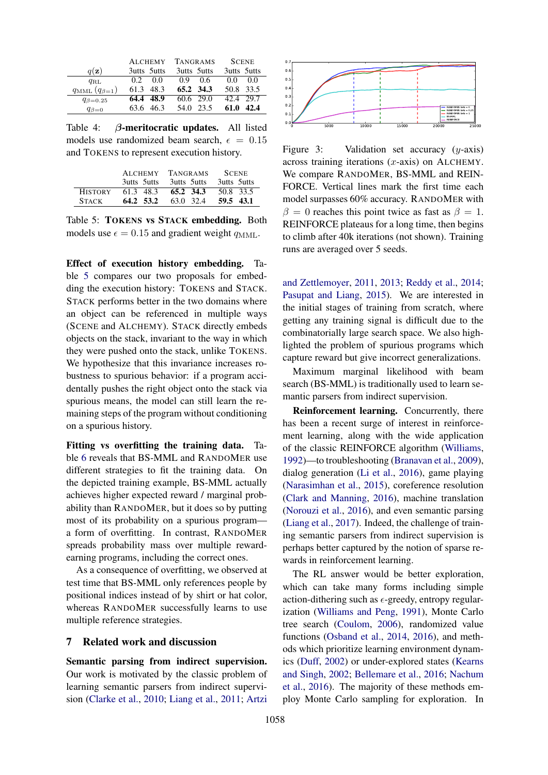|                               | <b>ALCHEMY</b> | <b>TANGRAMS</b> | <b>SCENE</b> |  |
|-------------------------------|----------------|-----------------|--------------|--|
| $q(\mathbf{z})$               | 3utts 5utts    | 3utts 5utts     | 3utts 5utts  |  |
| $q_{\rm RL}$                  | 0.0<br>02      | 09<br>0.6       | 0.0<br>0.0   |  |
| $q_{\text{MML}}(q_{\beta=1})$ | 61.3<br>48.3   | 65.2 34.3       | 50.8 33.5    |  |
| $q_{\beta=0.25}$              | 48.9<br>64.4   | 60.6 29.0       | 42.4 29.7    |  |
| $q_{\beta=0}$                 | 46.3<br>63.6   | 23.5<br>54.0    | 61.0<br>42.4 |  |

Table 4: β-meritocratic updates. All listed models use randomized beam search,  $\epsilon = 0.15$ and TOKENS to represent execution history.

|                | <b>ALCHEMY</b> | <b>TANGRAMS</b> | <b>SCENE</b> |  |
|----------------|----------------|-----------------|--------------|--|
|                | 3utts 5utts    | 3utts 5utts     | 3utts 5utts  |  |
| <b>HISTORY</b> | 61.3 48.3      | 65.2 34.3       | 50.8 33.5    |  |
| <b>STACK</b>   | 64.2 53.2      | 63.0 32.4       | 59.5 43.1    |  |

Table 5: TOKENS vs STACK embedding. Both models use  $\epsilon = 0.15$  and gradient weight  $q_{\text{MML}}$ .

Effect of execution history embedding. Table 5 compares our two proposals for embedding the execution history: TOKENS and STACK. STACK performs better in the two domains where an object can be referenced in multiple ways (SCENE and ALCHEMY). STACK directly embeds objects on the stack, invariant to the way in which they were pushed onto the stack, unlike TOKENS. We hypothesize that this invariance increases robustness to spurious behavior: if a program accidentally pushes the right object onto the stack via spurious means, the model can still learn the remaining steps of the program without conditioning on a spurious history.

Fitting vs overfitting the training data. Table 6 reveals that BS-MML and RANDOMER use different strategies to fit the training data. On the depicted training example, BS-MML actually achieves higher expected reward / marginal probability than RANDOMER, but it does so by putting most of its probability on a spurious program a form of overfitting. In contrast, RANDOMER spreads probability mass over multiple rewardearning programs, including the correct ones.

As a consequence of overfitting, we observed at test time that BS-MML only references people by positional indices instead of by shirt or hat color, whereas RANDOMER successfully learns to use multiple reference strategies.

# 7 Related work and discussion

Semantic parsing from indirect supervision. Our work is motivated by the classic problem of learning semantic parsers from indirect supervision (Clarke et al., 2010; Liang et al., 2011; Artzi



Figure 3: Validation set accuracy  $(y\text{-axis})$ across training iterations  $(x\text{-axis})$  on ALCHEMY. We compare RANDOMER, BS-MML and REIN-FORCE. Vertical lines mark the first time each model surpasses 60% accuracy. RANDOMER with  $\beta = 0$  reaches this point twice as fast as  $\beta = 1$ . REINFORCE plateaus for a long time, then begins to climb after 40k iterations (not shown). Training runs are averaged over 5 seeds.

and Zettlemoyer, 2011, 2013; Reddy et al., 2014; Pasupat and Liang, 2015). We are interested in the initial stages of training from scratch, where getting any training signal is difficult due to the combinatorially large search space. We also highlighted the problem of spurious programs which capture reward but give incorrect generalizations.

Maximum marginal likelihood with beam search (BS-MML) is traditionally used to learn semantic parsers from indirect supervision.

Reinforcement learning. Concurrently, there has been a recent surge of interest in reinforcement learning, along with the wide application of the classic REINFORCE algorithm (Williams, 1992)—to troubleshooting (Branavan et al., 2009), dialog generation (Li et al., 2016), game playing (Narasimhan et al., 2015), coreference resolution (Clark and Manning, 2016), machine translation (Norouzi et al., 2016), and even semantic parsing (Liang et al., 2017). Indeed, the challenge of training semantic parsers from indirect supervision is perhaps better captured by the notion of sparse rewards in reinforcement learning.

The RL answer would be better exploration, which can take many forms including simple action-dithering such as  $\epsilon$ -greedy, entropy regularization (Williams and Peng, 1991), Monte Carlo tree search (Coulom, 2006), randomized value functions (Osband et al., 2014, 2016), and methods which prioritize learning environment dynamics (Duff, 2002) or under-explored states (Kearns and Singh, 2002; Bellemare et al., 2016; Nachum et al., 2016). The majority of these methods employ Monte Carlo sampling for exploration. In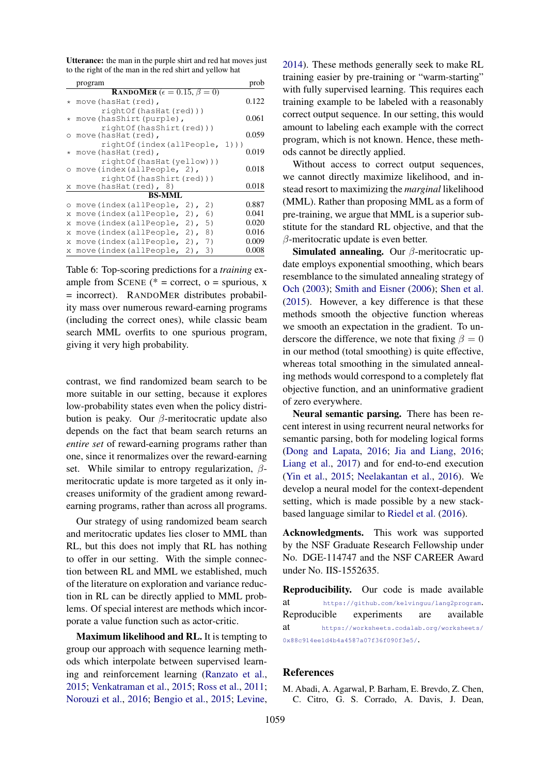Utterance: the man in the purple shirt and red hat moves just to the right of the man in the red shirt and yellow hat

|          | program                                                                    | prob             |  |  |
|----------|----------------------------------------------------------------------------|------------------|--|--|
|          | <b>RANDOMER</b> ( $\epsilon = 0.15$ , $\beta = 0$ )                        |                  |  |  |
| *        | move (hasHat (red),                                                        | 0.122            |  |  |
| $^\star$ | rightOf(hasHat(red)))<br>0.061<br>move (hasShirt (purple),                 |                  |  |  |
| $\circ$  | rightOf(hasShirt(red)))<br>move (hasHat (red),<br>rightOf(index(allPeople, | 0.059<br>$1)$ )) |  |  |
| $^\star$ | move (hasHat (red),                                                        | 0.019            |  |  |
| $\circ$  | rightOf(hasHat(yellow)))<br>move(index(allPeople, 2),                      | 0.018            |  |  |
|          | rightOf(hasShirt(red)))<br>x move(hasHat(red), 8)                          | 0.018            |  |  |
|          | BS-MML                                                                     |                  |  |  |
| $\circ$  | move(index(allPeople,<br>$2)$ ,<br>2)                                      | 0.887            |  |  |
| X        | move(index(allPeople,<br>6)<br>2),                                         | 0.041            |  |  |
| X        | 5)<br>move(index(allPeople,<br>$2)$ ,                                      | 0.020            |  |  |
| X        | move(index(allPeople,<br>8)<br>$2)$ ,                                      | 0.016            |  |  |
| X        | move(index(allPeople,<br>7)<br>$2)$ ,                                      | 0.009            |  |  |
| Х        | move(index(allPeople,<br>$2)$ ,<br>3)                                      | 0.008            |  |  |

Table 6: Top-scoring predictions for a *training* example from SCENE ( $* =$  correct, o = spurious, x = incorrect). RANDOMER distributes probability mass over numerous reward-earning programs (including the correct ones), while classic beam search MML overfits to one spurious program, giving it very high probability.

contrast, we find randomized beam search to be more suitable in our setting, because it explores low-probability states even when the policy distribution is peaky. Our  $\beta$ -meritocratic update also depends on the fact that beam search returns an *entire set* of reward-earning programs rather than one, since it renormalizes over the reward-earning set. While similar to entropy regularization,  $\beta$ meritocratic update is more targeted as it only increases uniformity of the gradient among rewardearning programs, rather than across all programs.

Our strategy of using randomized beam search and meritocratic updates lies closer to MML than RL, but this does not imply that RL has nothing to offer in our setting. With the simple connection between RL and MML we established, much of the literature on exploration and variance reduction in RL can be directly applied to MML problems. Of special interest are methods which incorporate a value function such as actor-critic.

Maximum likelihood and RL. It is tempting to group our approach with sequence learning methods which interpolate between supervised learning and reinforcement learning (Ranzato et al., 2015; Venkatraman et al., 2015; Ross et al., 2011; Norouzi et al., 2016; Bengio et al., 2015; Levine,

2014). These methods generally seek to make RL training easier by pre-training or "warm-starting" with fully supervised learning. This requires each training example to be labeled with a reasonably correct output sequence. In our setting, this would amount to labeling each example with the correct program, which is not known. Hence, these methods cannot be directly applied.

Without access to correct output sequences, we cannot directly maximize likelihood, and instead resort to maximizing the *marginal* likelihood (MML). Rather than proposing MML as a form of pre-training, we argue that MML is a superior substitute for the standard RL objective, and that the β-meritocratic update is even better.

Simulated annealing. Our  $\beta$ -meritocratic update employs exponential smoothing, which bears resemblance to the simulated annealing strategy of Och (2003); Smith and Eisner (2006); Shen et al. (2015). However, a key difference is that these methods smooth the objective function whereas we smooth an expectation in the gradient. To underscore the difference, we note that fixing  $\beta = 0$ in our method (total smoothing) is quite effective, whereas total smoothing in the simulated annealing methods would correspond to a completely flat objective function, and an uninformative gradient of zero everywhere.

Neural semantic parsing. There has been recent interest in using recurrent neural networks for semantic parsing, both for modeling logical forms (Dong and Lapata, 2016; Jia and Liang, 2016; Liang et al., 2017) and for end-to-end execution (Yin et al., 2015; Neelakantan et al., 2016). We develop a neural model for the context-dependent setting, which is made possible by a new stackbased language similar to Riedel et al. (2016).

Acknowledgments. This work was supported by the NSF Graduate Research Fellowship under No. DGE-114747 and the NSF CAREER Award under No. IIS-1552635.

Reproducibility. Our code is made available at https://github.com/kelvinguu/lang2program. Reproducible experiments are available at https://worksheets.codalab.org/worksheets/ 0x88c914ee1d4b4a4587a07f36f090f3e5/.

### References

M. Abadi, A. Agarwal, P. Barham, E. Brevdo, Z. Chen, C. Citro, G. S. Corrado, A. Davis, J. Dean,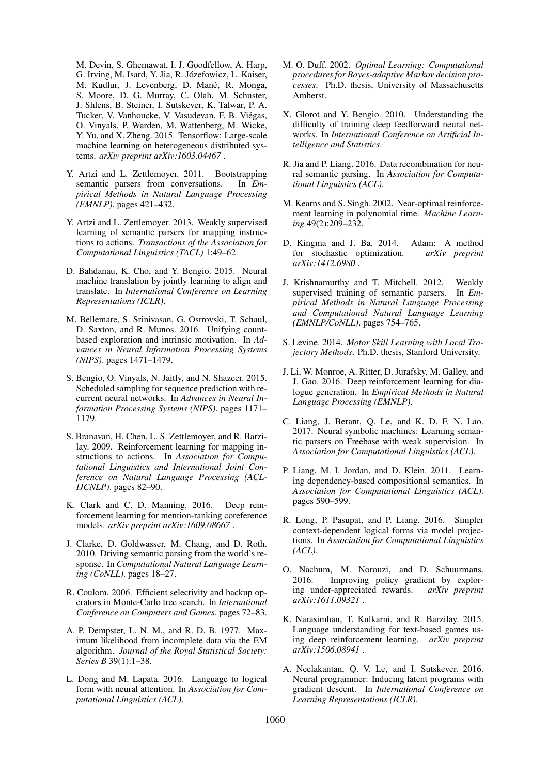M. Devin, S. Ghemawat, I. J. Goodfellow, A. Harp, G. Irving, M. Isard, Y. Jia, R. Józefowicz, L. Kaiser, M. Kudlur, J. Levenberg, D. Mané, R. Monga, S. Moore, D. G. Murray, C. Olah, M. Schuster, J. Shlens, B. Steiner, I. Sutskever, K. Talwar, P. A. Tucker, V. Vanhoucke, V. Vasudevan, F. B. Viegas, ´ O. Vinyals, P. Warden, M. Wattenberg, M. Wicke, Y. Yu, and X. Zheng. 2015. Tensorflow: Large-scale machine learning on heterogeneous distributed systems. *arXiv preprint arXiv:1603.04467* .

- Y. Artzi and L. Zettlemoyer. 2011. Bootstrapping semantic parsers from conversations. In *Empirical Methods in Natural Language Processing (EMNLP)*. pages 421–432.
- Y. Artzi and L. Zettlemoyer. 2013. Weakly supervised learning of semantic parsers for mapping instructions to actions. *Transactions of the Association for Computational Linguistics (TACL)* 1:49–62.
- D. Bahdanau, K. Cho, and Y. Bengio. 2015. Neural machine translation by jointly learning to align and translate. In *International Conference on Learning Representations (ICLR)*.
- M. Bellemare, S. Srinivasan, G. Ostrovski, T. Schaul, D. Saxton, and R. Munos. 2016. Unifying countbased exploration and intrinsic motivation. In *Advances in Neural Information Processing Systems (NIPS)*. pages 1471–1479.
- S. Bengio, O. Vinyals, N. Jaitly, and N. Shazeer. 2015. Scheduled sampling for sequence prediction with recurrent neural networks. In *Advances in Neural Information Processing Systems (NIPS)*. pages 1171– 1179.
- S. Branavan, H. Chen, L. S. Zettlemoyer, and R. Barzilay. 2009. Reinforcement learning for mapping instructions to actions. In *Association for Computational Linguistics and International Joint Conference on Natural Language Processing (ACL-IJCNLP)*. pages 82–90.
- K. Clark and C. D. Manning. 2016. Deep reinforcement learning for mention-ranking coreference models. *arXiv preprint arXiv:1609.08667* .
- J. Clarke, D. Goldwasser, M. Chang, and D. Roth. 2010. Driving semantic parsing from the world's response. In *Computational Natural Language Learning (CoNLL)*. pages 18–27.
- R. Coulom. 2006. Efficient selectivity and backup operators in Monte-Carlo tree search. In *International Conference on Computers and Games*. pages 72–83.
- A. P. Dempster, L. N. M., and R. D. B. 1977. Maximum likelihood from incomplete data via the EM algorithm. *Journal of the Royal Statistical Society: Series B* 39(1):1–38.
- L. Dong and M. Lapata. 2016. Language to logical form with neural attention. In *Association for Computational Linguistics (ACL)*.
- M. O. Duff. 2002. *Optimal Learning: Computational procedures for Bayes-adaptive Markov decision processes*. Ph.D. thesis, University of Massachusetts Amherst.
- X. Glorot and Y. Bengio. 2010. Understanding the difficulty of training deep feedforward neural networks. In *International Conference on Artificial Intelligence and Statistics*.
- R. Jia and P. Liang. 2016. Data recombination for neural semantic parsing. In *Association for Computational Linguistics (ACL)*.
- M. Kearns and S. Singh. 2002. Near-optimal reinforcement learning in polynomial time. *Machine Learning* 49(2):209–232.
- D. Kingma and J. Ba. 2014. Adam: A method for stochastic optimization. *arXiv preprint arXiv:1412.6980* .
- J. Krishnamurthy and T. Mitchell. 2012. Weakly supervised training of semantic parsers. In *Empirical Methods in Natural Language Processing and Computational Natural Language Learning (EMNLP/CoNLL)*. pages 754–765.
- S. Levine. 2014. *Motor Skill Learning with Local Trajectory Methods*. Ph.D. thesis, Stanford University.
- J. Li, W. Monroe, A. Ritter, D. Jurafsky, M. Galley, and J. Gao. 2016. Deep reinforcement learning for dialogue generation. In *Empirical Methods in Natural Language Processing (EMNLP)*.
- C. Liang, J. Berant, Q. Le, and K. D. F. N. Lao. 2017. Neural symbolic machines: Learning semantic parsers on Freebase with weak supervision. In *Association for Computational Linguistics (ACL)*.
- P. Liang, M. I. Jordan, and D. Klein. 2011. Learning dependency-based compositional semantics. In *Association for Computational Linguistics (ACL)*. pages 590–599.
- R. Long, P. Pasupat, and P. Liang. 2016. Simpler context-dependent logical forms via model projections. In *Association for Computational Linguistics (ACL)*.
- O. Nachum, M. Norouzi, and D. Schuurmans. 2016. Improving policy gradient by exploring under-appreciated rewards. *arXiv preprint arXiv:1611.09321* .
- K. Narasimhan, T. Kulkarni, and R. Barzilay. 2015. Language understanding for text-based games using deep reinforcement learning. *arXiv preprint arXiv:1506.08941* .
- A. Neelakantan, Q. V. Le, and I. Sutskever. 2016. Neural programmer: Inducing latent programs with gradient descent. In *International Conference on Learning Representations (ICLR)*.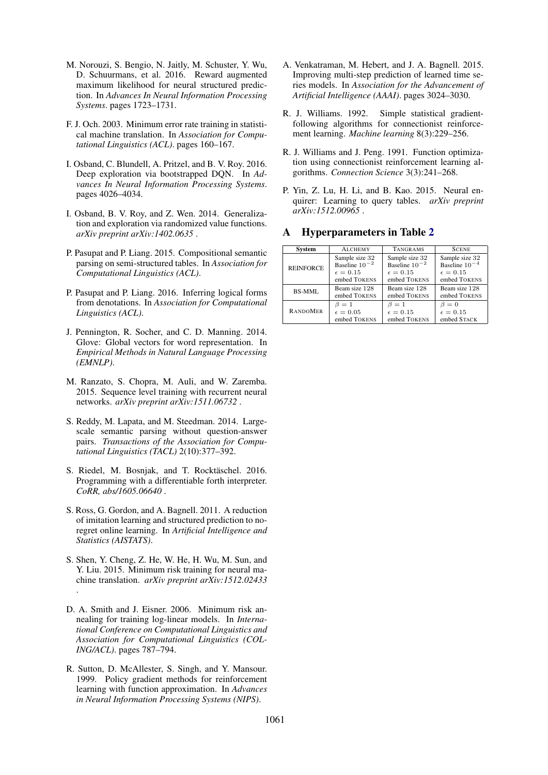- M. Norouzi, S. Bengio, N. Jaitly, M. Schuster, Y. Wu, D. Schuurmans, et al. 2016. Reward augmented maximum likelihood for neural structured prediction. In *Advances In Neural Information Processing Systems*. pages 1723–1731.
- F. J. Och. 2003. Minimum error rate training in statistical machine translation. In *Association for Computational Linguistics (ACL)*. pages 160–167.
- I. Osband, C. Blundell, A. Pritzel, and B. V. Roy. 2016. Deep exploration via bootstrapped DQN. In *Advances In Neural Information Processing Systems*. pages 4026–4034.
- I. Osband, B. V. Roy, and Z. Wen. 2014. Generalization and exploration via randomized value functions. *arXiv preprint arXiv:1402.0635* .
- P. Pasupat and P. Liang. 2015. Compositional semantic parsing on semi-structured tables. In *Association for Computational Linguistics (ACL)*.
- P. Pasupat and P. Liang. 2016. Inferring logical forms from denotations. In *Association for Computational Linguistics (ACL)*.
- J. Pennington, R. Socher, and C. D. Manning. 2014. Glove: Global vectors for word representation. In *Empirical Methods in Natural Language Processing (EMNLP)*.
- M. Ranzato, S. Chopra, M. Auli, and W. Zaremba. 2015. Sequence level training with recurrent neural networks. *arXiv preprint arXiv:1511.06732* .
- S. Reddy, M. Lapata, and M. Steedman. 2014. Largescale semantic parsing without question-answer pairs. *Transactions of the Association for Computational Linguistics (TACL)* 2(10):377–392.
- S. Riedel, M. Bosniak, and T. Rocktäschel. 2016. Programming with a differentiable forth interpreter. *CoRR, abs/1605.06640* .
- S. Ross, G. Gordon, and A. Bagnell. 2011. A reduction of imitation learning and structured prediction to noregret online learning. In *Artificial Intelligence and Statistics (AISTATS)*.
- S. Shen, Y. Cheng, Z. He, W. He, H. Wu, M. Sun, and Y. Liu. 2015. Minimum risk training for neural machine translation. *arXiv preprint arXiv:1512.02433* .
- D. A. Smith and J. Eisner. 2006. Minimum risk annealing for training log-linear models. In *International Conference on Computational Linguistics and Association for Computational Linguistics (COL-ING/ACL)*. pages 787–794.
- R. Sutton, D. McAllester, S. Singh, and Y. Mansour. 1999. Policy gradient methods for reinforcement learning with function approximation. In *Advances in Neural Information Processing Systems (NIPS)*.
- A. Venkatraman, M. Hebert, and J. A. Bagnell. 2015. Improving multi-step prediction of learned time series models. In *Association for the Advancement of Artificial Intelligence (AAAI)*. pages 3024–3030.
- R. J. Williams. 1992. Simple statistical gradientfollowing algorithms for connectionist reinforcement learning. *Machine learning* 8(3):229–256.
- R. J. Williams and J. Peng. 1991. Function optimization using connectionist reinforcement learning algorithms. *Connection Science* 3(3):241–268.
- P. Yin, Z. Lu, H. Li, and B. Kao. 2015. Neural enquirer: Learning to query tables. *arXiv preprint arXiv:1512.00965* .

#### System **ALCHEMY** TANGRAMS SCENE REINFORCE Sample size 32 Baseline 10  $\epsilon = 0.15$ embed TOKENS Sample size 32 Baseline 10<sup>-2</sup>  $\epsilon = 0.15$ embed TOKENS Sample size 32 Baseline 10<sup>-4</sup>  $\epsilon = 0.15$ embed TOKENS BS-MML Beam size 128 embed TOKENS Beam size 128 embed TOKENS Beam size 128 embed TOKENS RANDOMER  $\beta=1$  $\epsilon = 0.05$ embed TOKENS  $\beta = 1$  $\epsilon = 0.15$ embed TOKENS  $\beta = 0$  $\epsilon = 0.15$ embed STACK

# A Hyperparameters in Table 2